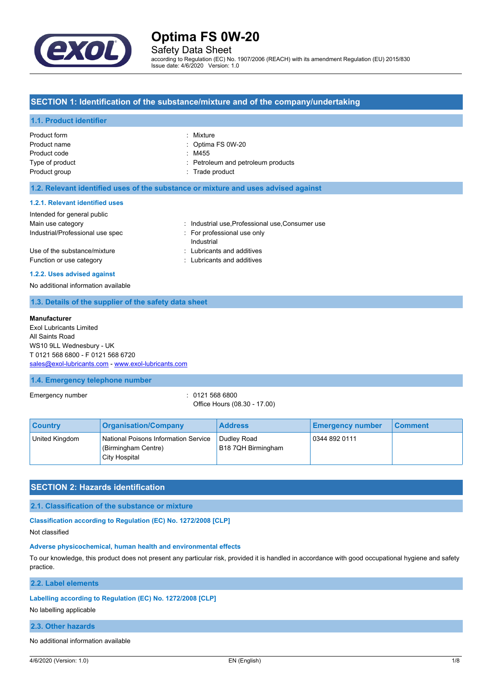

Safety Data Sheet

according to Regulation (EC) No. 1907/2006 (REACH) with its amendment Regulation (EU) 2015/830 Issue date: 4/6/2020 Version: 1.0

## **SECTION 1: Identification of the substance/mixture and of the company/undertaking**

## **1.1. Product identifier**

| Product form    | : Mixture                          |
|-----------------|------------------------------------|
| Product name    | $\therefore$ Optima FS 0W-20       |
| Product code    | : M455                             |
| Type of product | : Petroleum and petroleum products |
| Product group   | : Trade product                    |
|                 |                                    |

### **1.2. Relevant identified uses of the substance or mixture and uses advised against**

#### **1.2.1. Relevant identified uses**

| Intended for general public                              |                                                          |
|----------------------------------------------------------|----------------------------------------------------------|
| Main use category                                        | : Industrial use, Professional use, Consumer use         |
| Industrial/Professional use spec                         | For professional use only<br>Industrial                  |
| Use of the substance/mixture<br>Function or use category | : Lubricants and additives<br>: Lubricants and additives |

### **1.2.2. Uses advised against**

No additional information available

## **1.3. Details of the supplier of the safety data sheet**

#### **Manufacturer**

Exol Lubricants Limited All Saints Road WS10 9LL Wednesbury - UK T 0121 568 6800 - F 0121 568 6720 [sales@exol-lubricants.com](mailto:sales@exol-lubricants.com) - <www.exol-lubricants.com>

## **1.4. Emergency telephone number**

Emergency number : 0121 568 6800

Office Hours (08.30 - 17.00)

| <b>Country</b> | <b>Organisation/Company</b>                                                  | <b>Address</b>                    | <b>Emergency number</b> | ∣ Comment∶ |
|----------------|------------------------------------------------------------------------------|-----------------------------------|-------------------------|------------|
| United Kingdom | National Poisons Information Service<br>(Birmingham Centre)<br>City Hospital | Dudley Road<br>B18 7QH Birmingham | 0344 892 0111           |            |

## **SECTION 2: Hazards identification**

#### **2.1. Classification of the substance or mixture**

**Classification according to Regulation (EC) No. 1272/2008 [CLP]**

Not classified

#### **Adverse physicochemical, human health and environmental effects**

To our knowledge, this product does not present any particular risk, provided it is handled in accordance with good occupational hygiene and safety practice.

**2.2. Label elements**

### **Labelling according to Regulation (EC) No. 1272/2008 [CLP]**

No labelling applicable

#### **2.3. Other hazards**

No additional information available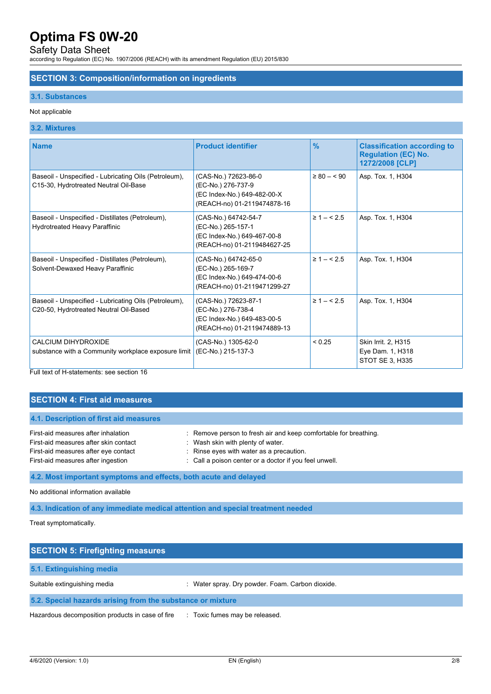## Safety Data Sheet

according to Regulation (EC) No. 1907/2006 (REACH) with its amendment Regulation (EU) 2015/830

## **SECTION 3: Composition/information on ingredients**

## **3.1. Substances**

## Not applicable

## **3.2. Mixtures**

| <b>Name</b>                                                                                     | <b>Product identifier</b>                                                                                | $\%$                | <b>Classification according to</b><br><b>Regulation (EC) No.</b><br>1272/2008 [CLP] |
|-------------------------------------------------------------------------------------------------|----------------------------------------------------------------------------------------------------------|---------------------|-------------------------------------------------------------------------------------|
| Baseoil - Unspecified - Lubricating Oils (Petroleum),<br>C15-30, Hydrotreated Neutral Oil-Base  | (CAS-No.) 72623-86-0<br>(EC-No.) 276-737-9<br>(EC Index-No.) 649-482-00-X<br>(REACH-no) 01-2119474878-16 | $\geq 80 - 590$     | Asp. Tox. 1, H304                                                                   |
| Baseoil - Unspecified - Distillates (Petroleum),<br>Hydrotreated Heavy Paraffinic               | (CAS-No.) 64742-54-7<br>(EC-No.) 265-157-1<br>(EC Index-No.) 649-467-00-8<br>(REACH-no) 01-2119484627-25 | $\geq 1 - \leq 2.5$ | Asp. Tox. 1, H304                                                                   |
| Baseoil - Unspecified - Distillates (Petroleum),<br>Solvent-Dewaxed Heavy Paraffinic            | (CAS-No.) 64742-65-0<br>(EC-No.) 265-169-7<br>(EC Index-No.) 649-474-00-6<br>(REACH-no) 01-2119471299-27 | $\geq 1 - \leq 2.5$ | Asp. Tox. 1, H304                                                                   |
| Baseoil - Unspecified - Lubricating Oils (Petroleum),<br>C20-50, Hydrotreated Neutral Oil-Based | (CAS-No.) 72623-87-1<br>(EC-No.) 276-738-4<br>(EC Index-No.) 649-483-00-5<br>(REACH-no) 01-2119474889-13 | $\geq 1 - 5.5$      | Asp. Tox. 1, H304                                                                   |
| CALCIUM DIHYDROXIDE<br>substance with a Community workplace exposure limit                      | (CAS-No.) 1305-62-0<br>(EC-No.) 215-137-3                                                                | < 0.25              | Skin Irrit. 2, H315<br>Eye Dam. 1, H318<br>STOT SE 3, H335                          |

Full text of H-statements: see section 16

## **SECTION 4: First aid measures**

| 4.1. Description of first aid measures |                                                                  |
|----------------------------------------|------------------------------------------------------------------|
| First-aid measures after inhalation    | : Remove person to fresh air and keep comfortable for breathing. |
| First-aid measures after skin contact  | : Wash skin with plenty of water.                                |
| First-aid measures after eye contact   | : Rinse eyes with water as a precaution.                         |
| First-aid measures after ingestion     | : Call a poison center or a doctor if you feel unwell.           |

**4.2. Most important symptoms and effects, both acute and delayed**

No additional information available

**4.3. Indication of any immediate medical attention and special treatment needed**

Treat symptomatically.

| <b>SECTION 5: Firefighting measures</b>                    |                                                  |  |
|------------------------------------------------------------|--------------------------------------------------|--|
| 5.1. Extinguishing media                                   |                                                  |  |
| Suitable extinguishing media                               | : Water spray. Dry powder. Foam. Carbon dioxide. |  |
| 5.2. Special hazards arising from the substance or mixture |                                                  |  |
| Hazardous decomposition products in case of fire           | : Toxic fumes may be released.                   |  |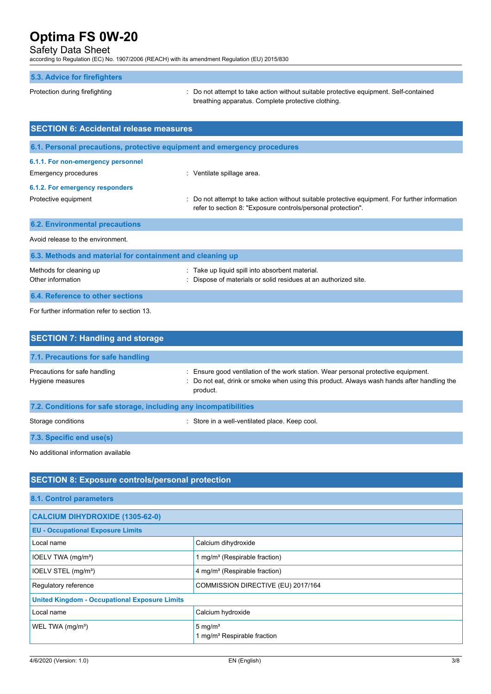## Safety Data Sheet

according to Regulation (EC) No. 1907/2006 (REACH) with its amendment Regulation (EU) 2015/830

### **5.3. Advice for firefighters**

Protection during firefighting **intercontained** : Do not attempt to take action without suitable protective equipment. Self-contained breathing apparatus. Complete protective clothing.

| <b>SECTION 6: Accidental release measures</b>             |                                                                                                                                                              |  |
|-----------------------------------------------------------|--------------------------------------------------------------------------------------------------------------------------------------------------------------|--|
|                                                           | 6.1. Personal precautions, protective equipment and emergency procedures                                                                                     |  |
| 6.1.1. For non-emergency personnel                        |                                                                                                                                                              |  |
| Emergency procedures                                      | : Ventilate spillage area.                                                                                                                                   |  |
| 6.1.2. For emergency responders                           |                                                                                                                                                              |  |
| Protective equipment                                      | Do not attempt to take action without suitable protective equipment. For further information<br>refer to section 8: "Exposure controls/personal protection". |  |
| <b>6.2. Environmental precautions</b>                     |                                                                                                                                                              |  |
| Avoid release to the environment.                         |                                                                                                                                                              |  |
| 6.3. Methods and material for containment and cleaning up |                                                                                                                                                              |  |

Methods for cleaning up **into absorbent material.** Take up liquid spill into absorbent material. Other information : Dispose of materials or solid residues at an authorized site. **6.4. Reference to other sections**

For further information refer to section 13.

| <b>SECTION 7: Handling and storage</b>                            |                                                                                                                                                                                              |
|-------------------------------------------------------------------|----------------------------------------------------------------------------------------------------------------------------------------------------------------------------------------------|
| 7.1. Precautions for safe handling                                |                                                                                                                                                                                              |
| Precautions for safe handling<br>Hygiene measures                 | : Ensure good ventilation of the work station. Wear personal protective equipment.<br>: Do not eat, drink or smoke when using this product. Always wash hands after handling the<br>product. |
| 7.2. Conditions for safe storage, including any incompatibilities |                                                                                                                                                                                              |
| Storage conditions                                                | : Store in a well-ventilated place. Keep cool.                                                                                                                                               |
| 7.3. Specific end use(s)                                          |                                                                                                                                                                                              |

No additional information available

# **SECTION 8: Exposure controls/personal protection**

**8.1. Control parameters**

| <b>CALCIUM DIHYDROXIDE (1305-62-0)</b>               |                                                               |  |
|------------------------------------------------------|---------------------------------------------------------------|--|
| <b>EU - Occupational Exposure Limits</b>             |                                                               |  |
| Local name                                           | Calcium dihydroxide                                           |  |
| IOELV TWA (mg/m <sup>3</sup> )                       | 1 mg/m <sup>3</sup> (Respirable fraction)                     |  |
| IOELV STEL (mg/m <sup>3</sup> )                      | 4 mg/m <sup>3</sup> (Respirable fraction)                     |  |
| Regulatory reference                                 | COMMISSION DIRECTIVE (EU) 2017/164                            |  |
| <b>United Kingdom - Occupational Exposure Limits</b> |                                                               |  |
| Local name                                           | Calcium hydroxide                                             |  |
| WEL TWA (mg/m <sup>3</sup> )                         | $5 \text{ mg/m}^3$<br>1 mg/m <sup>3</sup> Respirable fraction |  |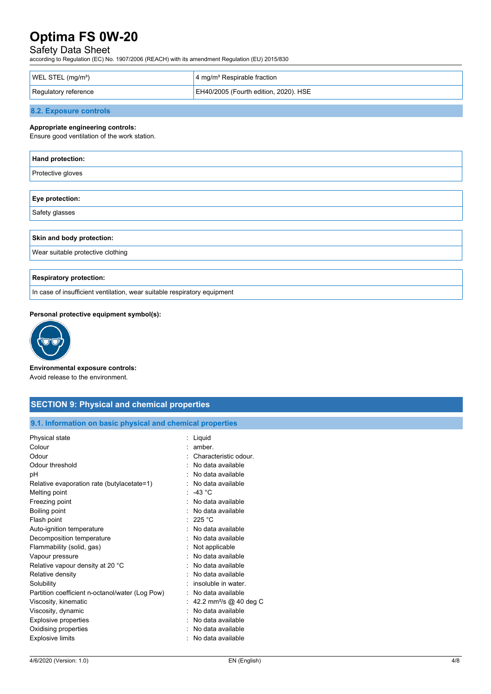# Safety Data Sheet

according to Regulation (EC) No. 1907/2006 (REACH) with its amendment Regulation (EU) 2015/830

| WEL STEL $(mg/m3)$   | $\frac{1}{2}$ 4 mg/m <sup>3</sup> Respirable fraction |
|----------------------|-------------------------------------------------------|
| Regulatory reference | EH40/2005 (Fourth edition, 2020). HSE                 |

## **8.2. Exposure controls**

#### **Appropriate engineering controls:**

Ensure good ventilation of the work station.

| Hand protection:                                                         |  |  |
|--------------------------------------------------------------------------|--|--|
| Protective gloves                                                        |  |  |
|                                                                          |  |  |
| Eye protection:                                                          |  |  |
| Safety glasses                                                           |  |  |
|                                                                          |  |  |
| Skin and body protection:                                                |  |  |
| Wear suitable protective clothing                                        |  |  |
|                                                                          |  |  |
| <b>Respiratory protection:</b>                                           |  |  |
| In case of insufficient ventilation, wear suitable respiratory equipment |  |  |

#### **Personal protective equipment symbol(s):**



**Environmental exposure controls:**

Avoid release to the environment.

| <b>SECTION 9: Physical and chemical properties</b>                                                                                                                                                                |                                                                                                                                                                                         |  |
|-------------------------------------------------------------------------------------------------------------------------------------------------------------------------------------------------------------------|-----------------------------------------------------------------------------------------------------------------------------------------------------------------------------------------|--|
| 9.1. Information on basic physical and chemical properties                                                                                                                                                        |                                                                                                                                                                                         |  |
| Physical state<br>Colour<br>Odour<br>Odour threshold<br>pH<br>Relative evaporation rate (butylacetate=1)                                                                                                          | : Liquid<br>amber.<br>۰.<br>Characteristic odour.<br>No data available<br>No data available<br>No data available                                                                        |  |
| Melting point<br>Freezing point<br>Boiling point<br>Flash point<br>Auto-ignition temperature                                                                                                                      | $\therefore$ -43 °C<br>No data available<br>No data available<br>: 225 °C<br>No data available                                                                                          |  |
| Decomposition temperature<br>Flammability (solid, gas)<br>Vapour pressure<br>Relative vapour density at 20 °C                                                                                                     | No data available<br>Not applicable<br>No data available<br>No data available                                                                                                           |  |
| Relative density<br>Solubility<br>Partition coefficient n-octanol/water (Log Pow)<br>Viscosity, kinematic<br>Viscosity, dynamic<br><b>Explosive properties</b><br>Oxidising properties<br><b>Explosive limits</b> | No data available<br>insoluble in water.<br>No data available<br>42.2 mm <sup>2</sup> /s @ 40 deg C<br>No data available<br>No data available<br>No data available<br>No data available |  |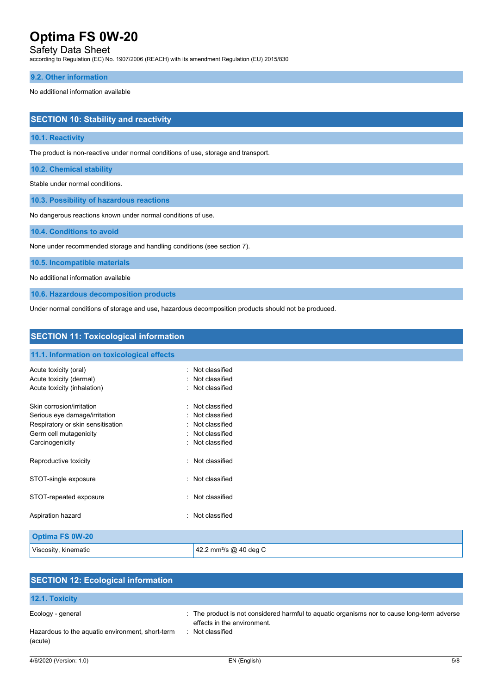## Safety Data Sheet

according to Regulation (EC) No. 1907/2006 (REACH) with its amendment Regulation (EU) 2015/830

## **9.2. Other information**

#### No additional information available

## **SECTION 10: Stability and reactivity**

#### **10.1. Reactivity**

The product is non-reactive under normal conditions of use, storage and transport.

**10.2. Chemical stability**

Stable under normal conditions.

**10.3. Possibility of hazardous reactions**

No dangerous reactions known under normal conditions of use.

**10.4. Conditions to avoid**

None under recommended storage and handling conditions (see section 7).

Viscosity, kinematic  $\vert$  42.2 mm<sup>2</sup>/s @ 40 deg C

**10.5. Incompatible materials**

No additional information available

**10.6. Hazardous decomposition products**

Under normal conditions of storage and use, hazardous decomposition products should not be produced.

| <b>SECTION 11: Toxicological information</b>     |                                                     |  |
|--------------------------------------------------|-----------------------------------------------------|--|
| 11.1. Information on toxicological effects       |                                                     |  |
| Acute toxicity (oral)<br>Acute toxicity (dermal) | Not classified<br>۰.<br>Not classified<br>$\bullet$ |  |
| Acute toxicity (inhalation)                      | Not classified<br>$\sim$                            |  |
| Skin corrosion/irritation                        | Not classified<br>$\bullet$                         |  |
| Serious eye damage/irritation                    | : Not classified                                    |  |
| Respiratory or skin sensitisation                | Not classified<br>$\sim$                            |  |
| Germ cell mutagenicity                           | Not classified<br>$\bullet$                         |  |
| Carcinogenicity                                  | Not classified                                      |  |
| Reproductive toxicity                            | : Not classified                                    |  |
| STOT-single exposure                             | Not classified<br>$\bullet$                         |  |
| STOT-repeated exposure                           | Not classified<br>$\gamma$                          |  |
| Aspiration hazard                                | Not classified<br>٠.                                |  |
| <b>Optima FS 0W-20</b>                           |                                                     |  |

| <b>SECTION 12: Ecological information</b>                   |                                                                                                                            |  |
|-------------------------------------------------------------|----------------------------------------------------------------------------------------------------------------------------|--|
| <b>12.1. Toxicity</b>                                       |                                                                                                                            |  |
| Ecology - general                                           | : The product is not considered harmful to aquatic organisms nor to cause long-term adverse<br>effects in the environment. |  |
| Hazardous to the aquatic environment, short-term<br>(acute) | Not classified                                                                                                             |  |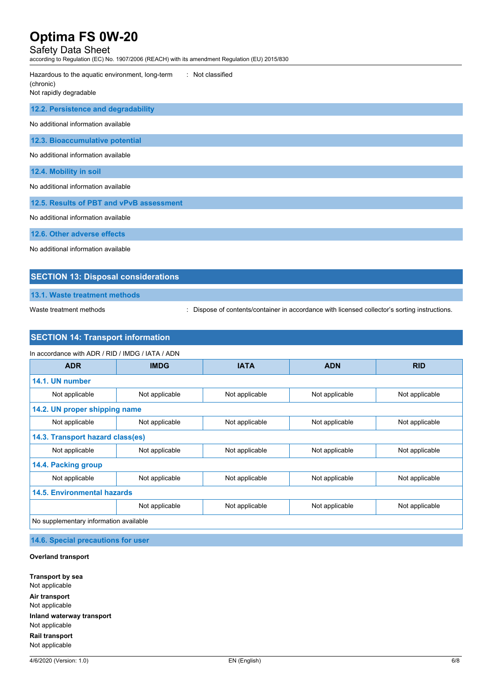# Safety Data Sheet

according to Regulation (EC) No. 1907/2006 (REACH) with its amendment Regulation (EU) 2015/830

| : Not classified<br>Hazardous to the aquatic environment, long-term<br>(chronic)<br>Not rapidly degradable |  |
|------------------------------------------------------------------------------------------------------------|--|
| 12.2. Persistence and degradability                                                                        |  |
| No additional information available                                                                        |  |
| 12.3. Bioaccumulative potential                                                                            |  |
| No additional information available                                                                        |  |
| 12.4. Mobility in soil                                                                                     |  |
| No additional information available                                                                        |  |
| 12.5. Results of PBT and vPvB assessment                                                                   |  |
| No additional information available                                                                        |  |
| 12.6. Other adverse effects                                                                                |  |

No additional information available

## **SECTION 13: Disposal considerations**

**13.1. Waste treatment methods**

Waste treatment methods : Dispose of contents/container in accordance with licensed collector's sorting instructions.

## **SECTION 14: Transport information**

| <b>ADR</b>                       | <b>IMDG</b>    | <b>IATA</b>    | <b>ADN</b>     | <b>RID</b>     |
|----------------------------------|----------------|----------------|----------------|----------------|
| 14.1. UN number                  |                |                |                |                |
|                                  |                |                |                |                |
| Not applicable                   | Not applicable | Not applicable | Not applicable | Not applicable |
| 14.2. UN proper shipping name    |                |                |                |                |
| Not applicable                   | Not applicable | Not applicable | Not applicable | Not applicable |
| 14.3. Transport hazard class(es) |                |                |                |                |
| Not applicable                   | Not applicable | Not applicable | Not applicable | Not applicable |
| 14.4. Packing group              |                |                |                |                |
| Not applicable                   | Not applicable | Not applicable | Not applicable | Not applicable |
| 14.5. Environmental hazards      |                |                |                |                |
|                                  | Not applicable | Not applicable | Not applicable | Not applicable |

**14.6. Special precautions for user**

#### **Overland transport**

**Transport by sea** Not applicable **Air transport** Not applicable **Inland waterway transport** Not applicable **Rail transport** Not applicable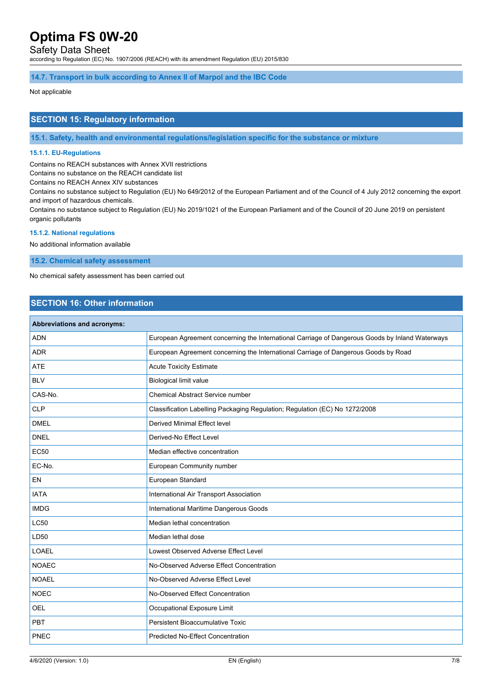## Safety Data Sheet

according to Regulation (EC) No. 1907/2006 (REACH) with its amendment Regulation (EU) 2015/830

**14.7. Transport in bulk according to Annex II of Marpol and the IBC Code**

#### Not applicable

## **SECTION 15: Regulatory information**

**15.1. Safety, health and environmental regulations/legislation specific for the substance or mixture**

## **15.1.1. EU-Regulations**

Contains no REACH substances with Annex XVII restrictions

Contains no substance on the REACH candidate list

Contains no REACH Annex XIV substances

Contains no substance subject to Regulation (EU) No 649/2012 of the European Parliament and of the Council of 4 July 2012 concerning the export and import of hazardous chemicals.

Contains no substance subject to Regulation (EU) No 2019/1021 of the European Parliament and of the Council of 20 June 2019 on persistent organic pollutants

#### **15.1.2. National regulations**

No additional information available

**15.2. Chemical safety assessment**

No chemical safety assessment has been carried out

# **SECTION 16: Other information**

| <b>Abbreviations and acronyms:</b> |                                                                                                 |
|------------------------------------|-------------------------------------------------------------------------------------------------|
| <b>ADN</b>                         | European Agreement concerning the International Carriage of Dangerous Goods by Inland Waterways |
| <b>ADR</b>                         | European Agreement concerning the International Carriage of Dangerous Goods by Road             |
| <b>ATE</b>                         | <b>Acute Toxicity Estimate</b>                                                                  |
| <b>BLV</b>                         | <b>Biological limit value</b>                                                                   |
| CAS-No.                            | <b>Chemical Abstract Service number</b>                                                         |
| <b>CLP</b>                         | Classification Labelling Packaging Regulation; Regulation (EC) No 1272/2008                     |
| <b>DMEL</b>                        | <b>Derived Minimal Effect level</b>                                                             |
| <b>DNEL</b>                        | Derived-No Effect Level                                                                         |
| <b>EC50</b>                        | Median effective concentration                                                                  |
| EC-No.                             | European Community number                                                                       |
| EN                                 | European Standard                                                                               |
| <b>IATA</b>                        | International Air Transport Association                                                         |
| <b>IMDG</b>                        | International Maritime Dangerous Goods                                                          |
| <b>LC50</b>                        | Median lethal concentration                                                                     |
| LD50                               | Median lethal dose                                                                              |
| <b>LOAEL</b>                       | Lowest Observed Adverse Effect Level                                                            |
| <b>NOAEC</b>                       | No-Observed Adverse Effect Concentration                                                        |
| <b>NOAEL</b>                       | No-Observed Adverse Effect Level                                                                |
| <b>NOEC</b>                        | No-Observed Effect Concentration                                                                |
| <b>OEL</b>                         | Occupational Exposure Limit                                                                     |
| <b>PBT</b>                         | <b>Persistent Bioaccumulative Toxic</b>                                                         |
| PNEC                               | <b>Predicted No-Effect Concentration</b>                                                        |
|                                    |                                                                                                 |